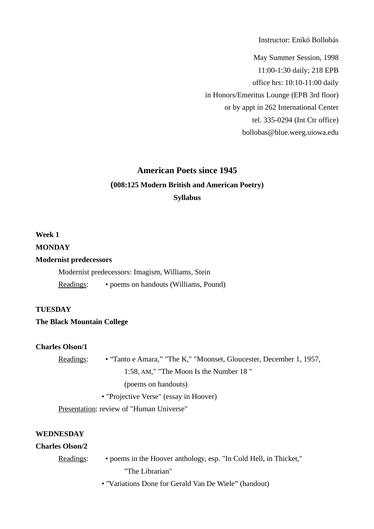Instructor: Enikö Bollobás

May Summer Session, 1998 11:00-1:30 daily; 218 EPB office hrs: 10:10-11:00 daily in Honors/Emeritus Lounge (EPB 3rd floor) or by appt in 262 International Center tel. 335-0294 (Int Ctr office) bollobas@blue.weeg.uiowa.edu

# **American Poets since 1945 (008:125 Modern British and American Poetry) Syllabus**

### **Week 1**

### **MONDAY**

### **Modernist predecessors**

Modernist predecessors: Imagism, Williams, Stein Readings: • poems on handouts (Williams, Pound)

### **TUESDAY**

### **The Black Mountain College**

### **Charles Olson/1**

| <u> Readings:</u> | • "Tanto e Amara," "The K," "Moonset, Gloucester, December 1, 1957, |
|-------------------|---------------------------------------------------------------------|
|                   | 1:58, AM," "The Moon Is the Number 18"                              |
|                   | (poems on handouts)                                                 |
|                   | • "Projective Verse" (essay in Hoover)                              |
|                   |                                                                     |

Presentation: review of "Human Universe"

### **WEDNESDAY**

### **Charles Olson/2**

| Readings: | • poems in the Hoover anthology, esp. "In Cold Hell, in Thicket," |
|-----------|-------------------------------------------------------------------|
|           | "The Librarian"                                                   |

• "Variations Done for Gerald Van De Wiele" (handout)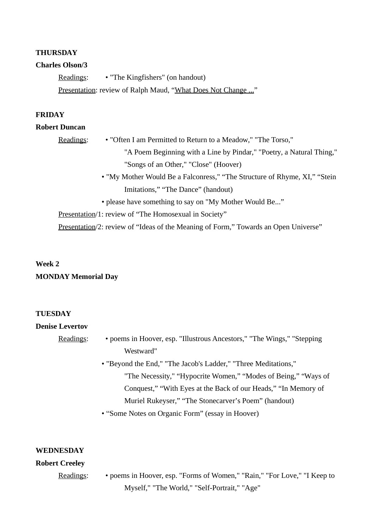### **THURSDAY**

### **Charles Olson/3**

Readings: • "The Kingfishers" (on handout) Presentation: review of Ralph Maud, "What Does Not Change ..."

### **FRIDAY**

### **Robert Duncan**

Readings: • "Often I am Permitted to Return to a Meadow," "The Torso,"

"A Poem Beginning with a Line by Pindar," "Poetry, a Natural Thing," "Songs of an Other," "Close" (Hoover)

 • "My Mother Would Be a Falconress," "The Structure of Rhyme, XI," "Stein Imitations," "The Dance" (handout)

• please have something to say on "My Mother Would Be..."

Presentation/1: review of "The Homosexual in Society"

Presentation/2: review of "Ideas of the Meaning of Form," Towards an Open Universe"

# **Week 2 MONDAY Memorial Day**

### **TUESDAY**

### **Denise Levertov**

| <u> Readings</u> : | • poems in Hoover, esp. "Illustrous Ancestors," "The Wings," "Stepping |
|--------------------|------------------------------------------------------------------------|
|                    | Westward"                                                              |

- "Beyond the End," "The Jacob's Ladder," "Three Meditations," "The Necessity," "Hypocrite Women," "Modes of Being," "Ways of Conquest," "With Eyes at the Back of our Heads," "In Memory of Muriel Rukeyser," "The Stonecarver's Poem" (handout)
- "Some Notes on Organic Form" (essay in Hoover)

### **WEDNESDAY**

### **Robert Creeley**

Readings: • poems in Hoover, esp. "Forms of Women," "Rain," "For Love," "I Keep to Myself," "The World," "Self-Portrait," "Age"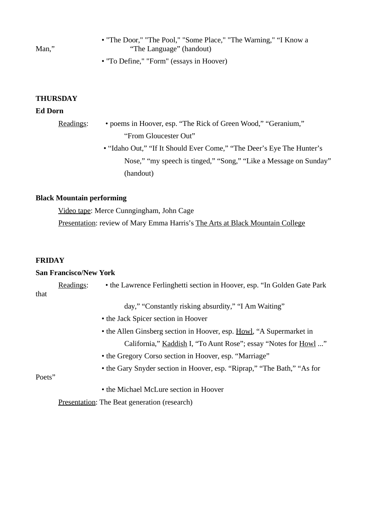| Man." | • "The Door," "The Pool," "Some Place," "The Warning," "I Know a<br>"The Language" (handout) |
|-------|----------------------------------------------------------------------------------------------|
|       | • "To Define," "Form" (essays in Hoover)                                                     |

**THURSDAY**

### **Ed Dorn**

| Readings: | • poems in Hoover, esp. "The Rick of Green Wood," "Geranium,"         |
|-----------|-----------------------------------------------------------------------|
|           | "From Gloucester Out"                                                 |
|           | • "Idaho Out," "If It Should Ever Come," "The Deer's Eye The Hunter's |
|           | Nose," "my speech is tinged," "Song," "Like a Message on Sunday"      |
|           | (handout)                                                             |

# **Black Mountain performing**

Video tape: Merce Cunngingham, John Cage Presentation: review of Mary Emma Harris's The Arts at Black Mountain College

## **FRIDAY**

### **San Francisco/New York**

|        | Readings: | • the Lawrence Ferlinghetti section in Hoover, esp. "In Golden Gate Park |
|--------|-----------|--------------------------------------------------------------------------|
| that   |           |                                                                          |
|        |           | day," "Constantly risking absurdity," "I Am Waiting"                     |
|        |           | • the Jack Spicer section in Hoover                                      |
|        |           | • the Allen Ginsberg section in Hoover, esp. Howl, "A Supermarket in     |
|        |           | California," Kaddish I, "To Aunt Rose"; essay "Notes for Howl "          |
|        |           | • the Gregory Corso section in Hoover, esp. "Marriage"                   |
|        |           | • the Gary Snyder section in Hoover, esp. "Riprap," "The Bath," "As for  |
| Poets" |           |                                                                          |
|        |           | • the Michael McLure section in Hoover                                   |
|        |           | <b>Presentation:</b> The Beat generation (research)                      |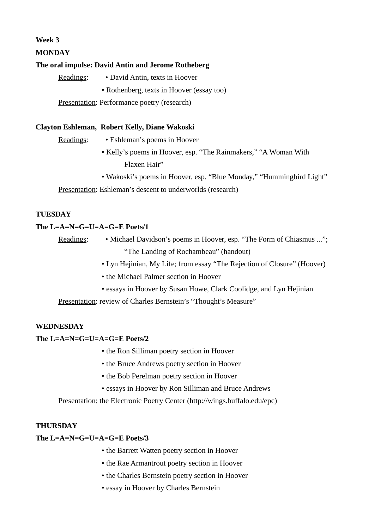### **Week 3**

### **MONDAY**

### **The oral impulse: David Antin and Jerome Rotheberg**

Readings: • David Antin, texts in Hoover • Rothenberg, texts in Hoover (essay too)

Presentation: Performance poetry (research)

### **Clayton Eshleman, Robert Kelly, Diane Wakoski**

Readings: • Eshleman's poems in Hoover

- Kelly's poems in Hoover, esp. "The Rainmakers," "A Woman With Flaxen Hair"
- Wakoski's poems in Hoover, esp. "Blue Monday," "Hummingbird Light"

Presentation: Eshleman's descent to underworlds (research)

### **TUESDAY**

### **The L=A=N=G=U=A=G=E Poets/1**

Readings: • Michael Davidson's poems in Hoover, esp. "The Form of Chiasmus ..."; "The Landing of Rochambeau" (handout)

- Lyn Hejinian, My Life; from essay "The Rejection of Closure" (Hoover)
- the Michael Palmer section in Hoover
- essays in Hoover by Susan Howe, Clark Coolidge, and Lyn Hejinian

Presentation: review of Charles Bernstein's "Thought's Measure"

### **WEDNESDAY**

**The L=A=N=G=U=A=G=E Poets/2**

- the Ron Silliman poetry section in Hoover
- the Bruce Andrews poetry section in Hoover
- the Bob Perelman poetry section in Hoover
- essays in Hoover by Ron Silliman and Bruce Andrews

Presentation: the Electronic Poetry Center (http://wings.buffalo.edu/epc)

### **THURSDAY**

**The L=A=N=G=U=A=G=E Poets/3**

- the Barrett Watten poetry section in Hoover
- the Rae Armantrout poetry section in Hoover
- the Charles Bernstein poetry section in Hoover
- essay in Hoover by Charles Bernstein